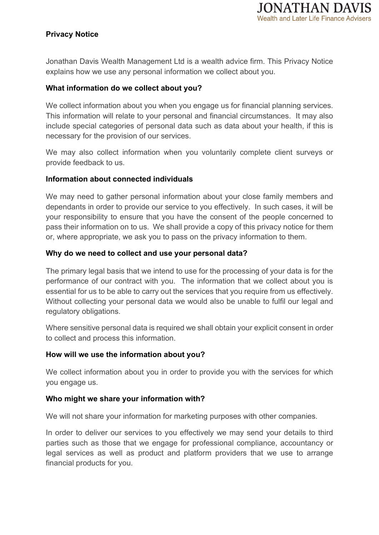# **Privacy Notice**

Jonathan Davis Wealth Management Ltd is a wealth advice firm. This Privacy Notice explains how we use any personal information we collect about you.

## **What information do we collect about you?**

We collect information about you when you engage us for financial planning services. This information will relate to your personal and financial circumstances. It may also include special categories of personal data such as data about your health, if this is necessary for the provision of our services.

We may also collect information when you voluntarily complete client surveys or provide feedback to us.

## **Information about connected individuals**

We may need to gather personal information about your close family members and dependants in order to provide our service to you effectively. In such cases, it will be your responsibility to ensure that you have the consent of the people concerned to pass their information on to us. We shall provide a copy of this privacy notice for them or, where appropriate, we ask you to pass on the privacy information to them.

## **Why do we need to collect and use your personal data?**

The primary legal basis that we intend to use for the processing of your data is for the performance of our contract with you. The information that we collect about you is essential for us to be able to carry out the services that you require from us effectively. Without collecting your personal data we would also be unable to fulfil our legal and regulatory obligations.

Where sensitive personal data is required we shall obtain your explicit consent in order to collect and process this information.

#### **How will we use the information about you?**

We collect information about you in order to provide you with the services for which you engage us.

## **Who might we share your information with?**

We will not share your information for marketing purposes with other companies.

In order to deliver our services to you effectively we may send your details to third parties such as those that we engage for professional compliance, accountancy or legal services as well as product and platform providers that we use to arrange financial products for you.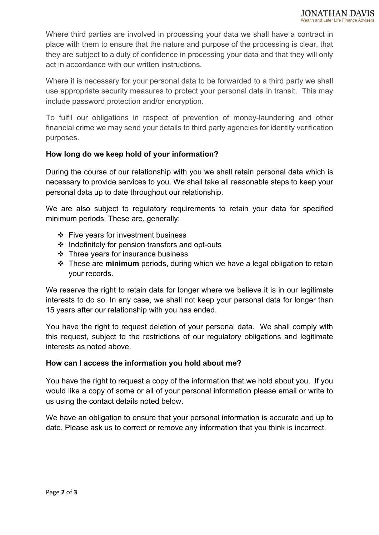Where third parties are involved in processing your data we shall have a contract in place with them to ensure that the nature and purpose of the processing is clear, that they are subject to a duty of confidence in processing your data and that they will only act in accordance with our written instructions.

Where it is necessary for your personal data to be forwarded to a third party we shall use appropriate security measures to protect your personal data in transit. This may include password protection and/or encryption.

To fulfil our obligations in respect of prevention of money-laundering and other financial crime we may send your details to third party agencies for identity verification purposes.

## **How long do we keep hold of your information?**

During the course of our relationship with you we shall retain personal data which is necessary to provide services to you. We shall take all reasonable steps to keep your personal data up to date throughout our relationship.

We are also subject to regulatory requirements to retain your data for specified minimum periods. These are, generally:

- $\div$  Five years for investment business
- ❖ Indefinitely for pension transfers and opt-outs
- $\div$  Three years for insurance business
- These are **minimum** periods, during which we have a legal obligation to retain your records.

We reserve the right to retain data for longer where we believe it is in our legitimate interests to do so. In any case, we shall not keep your personal data for longer than 15 years after our relationship with you has ended.

You have the right to request deletion of your personal data. We shall comply with this request, subject to the restrictions of our regulatory obligations and legitimate interests as noted above.

#### **How can I access the information you hold about me?**

You have the right to request a copy of the information that we hold about you. If you would like a copy of some or all of your personal information please email or write to us using the contact details noted below.

We have an obligation to ensure that your personal information is accurate and up to date. Please ask us to correct or remove any information that you think is incorrect.